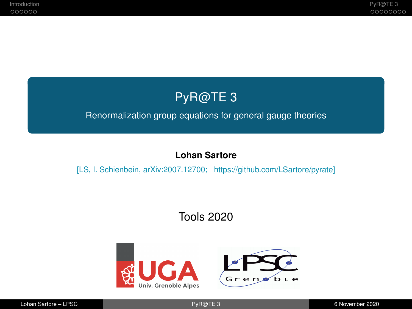# PyR@TE 3

#### <span id="page-0-0"></span>Renormalization group equations for general gauge theories

### **Lohan Sartore**

#### [LS, I. Schienbein, arXiv:2007.12700; https://github.com/LSartore/pyrate]

# Tools 2020

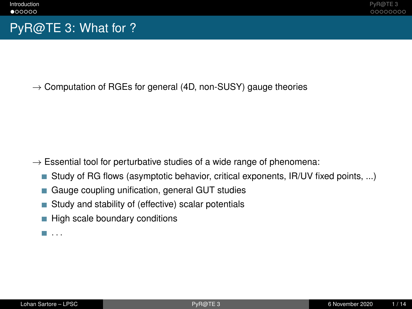# <span id="page-1-0"></span>PyR@TE 3: What for ?

 $\rightarrow$  Computation of RGEs for general (4D, non-SUSY) gauge theories

- $\rightarrow$  Essential tool for perturbative studies of a wide range of phenomena:
	- Study of RG flows (asymptotic behavior, critical exponents, IR/UV fixed points, ...)
	- Gauge coupling unification, general GUT studies п
	- Study and stability of (effective) scalar potentials П
	- High scale boundary conditions
	- $\blacksquare$  . . .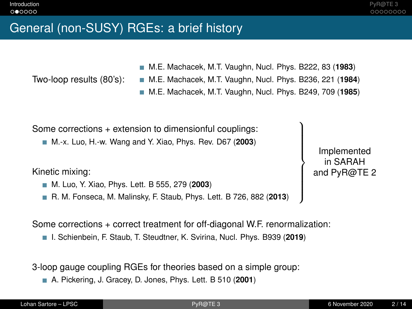## General (non-SUSY) RGEs: a brief history

Two-loop results (80's):

M.E. Machacek, M.T. Vaughn, Nucl. Phys. B222, 83 (**1983**)

- M.E. Machacek, M.T. Vaughn, Nucl. Phys. B236, 221 (**1984**)
- M.E. Machacek, M.T. Vaughn, Nucl. Phys. B249, 709 (**1985**)

Some corrections + extension to dimensionful couplings:

M.-x. Luo, H.-w. Wang and Y. Xiao, Phys. Rev. D67 (**2003**)

Kinetic mixing:

- M. Luo, Y. Xiao, Phys. Lett. B 555, 279 (**2003**)
- R. M. Fonseca, M. Malinsky, F. Staub, Phys. Lett. B 726, 882 (**2013**)

Implemented in SARAH and PyR@TE 2

)  $\overline{\mathcal{L}}$ 

 $\int$ 

Some corrections + correct treatment for off-diagonal W.F. renormalization:

I. Schienbein, F. Staub, T. Steudtner, K. Svirina, Nucl. Phys. B939 (**2019**)

3-loop gauge coupling RGEs for theories based on a simple group:

A. Pickering, J. Gracey, D. Jones, Phys. Lett. B 510 (**2001**)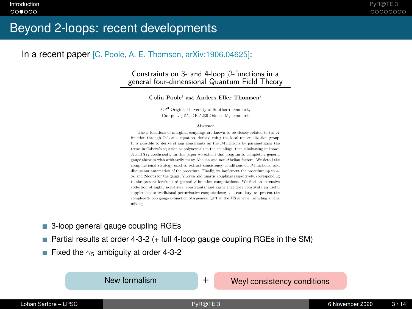## Beyond 2-loops: recent developments

#### In a recent paper [C. Poole, A. E. Thomsen, arXiv:1906.04625]:

#### Constraints on 3- and 4-loop  $\beta$ -functions in a general four-dimensional Quantum Field Theory

Colin Poole<sup>1</sup> and Anders Eller Thomsen<sup>2</sup>

CP<sup>3</sup>-Origins, University of Southern Denmark. Campusyei 55, DK-5230 Odense M. Denmark

#### Abstract

The  $\beta$ -functions of marginal couplings are known to be closely related to the Afunction through Osborn's equation, derived using the local renormalization group. It is possible to derive strong constraints on the  $\beta$ -functions by parametrizing the terms in Osborn's equation as polynomials in the couplings, then eliminating unknown  $\tilde{A}$  and  $T_{IJ}$  coefficients. In this paper we extend this program to completely general gauge theories with arbitrarily many Abelian and non-Abelian factors. We detail the computational strategy used to extract consistency conditions on  $\beta$ -functions, and discuss our automation of the procedure. Finally, we implement the procedure up to 4-. 3-, and 2-loops for the gauge, Yukawa and quartic couplings respectively, corresponding to the present forefront of general  $\beta$ -function computations. We find an extensive collection of highly non-trivial constraints, and argue that they constitute an useful supplement to traditional perturbative computations; as a corollary, we present the complete 3-loop gauge  $\beta$ -function of a general OFT in the  $\overline{\text{MS}}$  scheme, including kinetic mixing.

- 3-loop general gauge coupling RGEs
- Partial results at order 4-3-2 (+ full 4-loop gauge coupling RGEs in the SM) П
- **Fixed the**  $\gamma_5$  **ambiguity at order 4-3-2**

New formalism  $+$  Weyl consistency conditions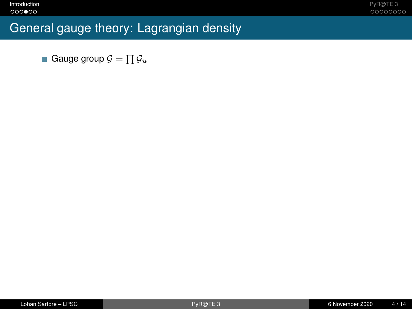# General gauge theory: Lagrangian density

Gauge group  $\mathcal{G}=\prod \mathcal{G}_u$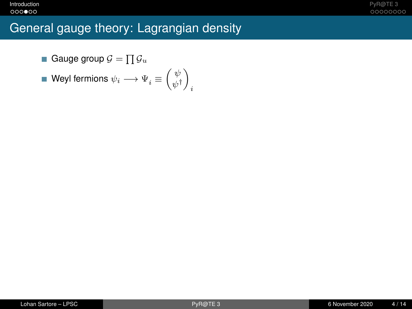## General gauge theory: Lagrangian density

Gauge group  $\mathcal{G}=\prod \mathcal{G}_u$ 

$$
\blacksquare \text{ Weyl fermions } \psi_i \longrightarrow \Psi_i \equiv \begin{pmatrix} \psi \\ \psi^\dagger \end{pmatrix}_i
$$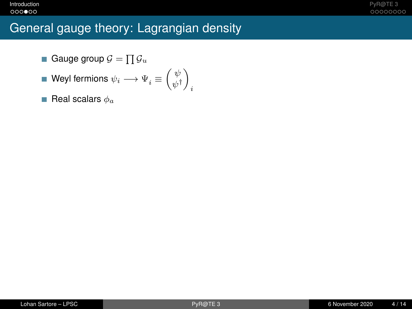## General gauge theory: Lagrangian density

- Gauge group  $\mathcal{G}=\prod \mathcal{G}_u$
- Weyl fermions  $\psi_i \longrightarrow \Psi^{\vphantom{\dagger}}_i \equiv \left( \begin{smallmatrix} \psi^{\vphantom{\dagger}} \\ \psi^{\vphantom{\dagger}}_i \end{smallmatrix} \right)$  $\begin{pmatrix} \psi \\ \psi^{\dagger} \end{pmatrix}$ i
- Real scalars  $\phi_a$ п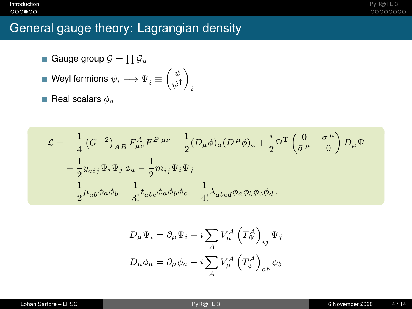## **[Introduction](#page-1-0)** [PyR@TE 3](#page-10-0)

## General gauge theory: Lagrangian density

- Gauge group  $\mathcal{G}=\prod \mathcal{G}_u$
- Weyl fermions  $\psi_i \longrightarrow \Psi^{\vphantom{\dagger}}_i \equiv \left( \begin{smallmatrix} \psi^{\vphantom{\dagger}} \\ \psi^{\vphantom{\dagger}}_i \end{smallmatrix} \right)$  $\begin{pmatrix} \psi \\ \psi^{\dagger} \end{pmatrix}$ i
- Real scalars  $\phi_a$ П

$$
\begin{split} \mathcal{L} & = -\,\frac{1}{4}\left(G^{\,-2}\right)_{AB}F_{\mu\nu}^{A}F^{B\,\mu\nu} + \frac{1}{2}(D_{\mu}\phi)_{a}(D^{\,\mu}\phi)_{a} + \frac{i}{2}\Psi^{\mathrm{T}}\begin{pmatrix} 0 & \sigma^{\,\mu} \\ \bar{\sigma}^{\,\mu} & 0 \end{pmatrix}D_{\mu}\Psi \\ & \quad - \frac{1}{2}y_{aij}\Psi_{i}\Psi_{j}\,\phi_{a} - \frac{1}{2}m_{ij}\Psi_{i}\Psi_{j} \\ & \quad - \frac{1}{2}\mu_{ab}\phi_{a}\phi_{b} - \frac{1}{3!}t_{abc}\phi_{a}\phi_{b}\phi_{c} - \frac{1}{4!}\lambda_{abcd}\phi_{a}\phi_{b}\phi_{c}\phi_{d} \,. \end{split}
$$

$$
D_{\mu}\Psi_{i} = \partial_{\mu}\Psi_{i} - i \sum_{A} V_{\mu}^{A} \left(T_{\Psi}^{A}\right)_{ij} \Psi_{j}
$$

$$
D_{\mu}\phi_{a} = \partial_{\mu}\phi_{a} - i \sum_{A} V_{\mu}^{A} \left(T_{\phi}^{A}\right)_{ab} \phi_{b}
$$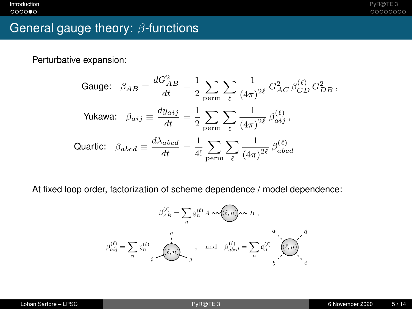# General gauge theory: β-functions

Perturbative expansion:

Gauge: 
$$
\beta_{AB} \equiv \frac{dG_{AB}^2}{dt} = \frac{1}{2} \sum_{\text{perm}} \sum_{\ell} \frac{1}{(4\pi)^{2\ell}} G_{AC}^2 \beta_{CD}^{(\ell)} G_{DB}^2
$$
,  
\nYukawa:  $\beta_{aij} \equiv \frac{dy_{aij}}{dt} = \frac{1}{2} \sum_{\text{perm}} \sum_{\ell} \frac{1}{(4\pi)^{2\ell}} \beta_{aij}^{(\ell)}$ ,  
\nQuartic:  $\beta_{abcd} \equiv \frac{d\lambda_{abcd}}{dt} = \frac{1}{4!} \sum_{\text{perm}} \sum_{\ell} \frac{1}{(4\pi)^{2\ell}} \beta_{abcd}^{(\ell)}$ 

At fixed loop order, factorization of scheme dependence / model dependence:

$$
\beta_{AB}^{(\ell)} = \sum_{n} \mathfrak{g}_{n}^{(\ell)} A \sim \text{Tr}(\ell, n) \sim B,
$$
\n
$$
\beta_{aij}^{(\ell)} = \sum_{n} \mathfrak{y}_{n}^{(\ell)} \qquad \qquad i \qquad \text{and} \qquad \beta_{abcd}^{(\ell)} = \sum_{n} \mathfrak{q}_{n}^{(\ell)} \left( \sum_{i} \mathfrak{q}_{i}^{(\ell)} \right)^{\ell}
$$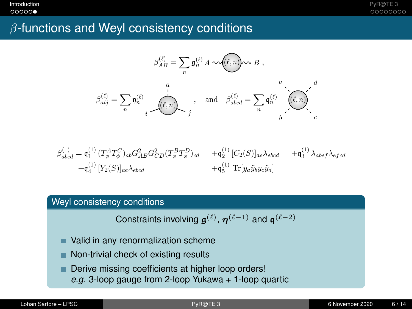**[Introduction](#page-1-0)** [PyR@TE 3](#page-10-0)

## $\beta$ -functions and Weyl consistency conditions

$$
\beta_{AB}^{(\ell)} = \sum_{n} \mathfrak{g}_{n}^{(\ell)} A \sim (\ell, n) \sim B ,
$$
\n
$$
\beta_{aij}^{(\ell)} = \sum_{n} \mathfrak{y}_{n}^{(\ell)} \prod_{i}^{a} \mathfrak{g}_{n}^{(\ell)} \prod_{j}^{a} \prod_{j}^{a} \mathfrak{g}_{abcd}^{(i)} = \sum_{n} \mathfrak{q}_{n}^{(\ell)} \prod_{j}^{a} \left(\ell, n\right) \prod_{j}^{a} \left(\ell, n\right)^{a}.
$$

$$
\begin{aligned} \beta_{abcd}^{(1)} = \mathfrak{q}_1^{(1)} \, (T^A_{\phi} T^C_{\phi})_{ab} G^2_{AB} G^2_{CD} (T^B_{\phi} T^D_{\phi})_{cd} & + \mathfrak{q}_2^{(1)} \, [C_2(S)]_{ae} \lambda_{ebcd} & + \mathfrak{q}_3^{(1)} \, \lambda_{abef} \lambda_{efcd} \\ + \mathfrak{q}_4^{(1)} \, [Y_2(S)]_{ae} \lambda_{ebcd} & + \mathfrak{q}_5^{(1)} \, \, \text{Tr}[y_a \tilde{y}_b y_c \tilde{y}_d] \end{aligned}
$$

### Weyl consistency conditions

Constraints involving  $\mathfrak{g}^{(\ell)},\, \eta^{(\ell-1)}$  and  $\mathfrak{q}^{(\ell-2)}$ 

- Valid in any renormalization scheme
- Non-trivial check of existing results
- Derive missing coefficients at higher loop orders! ٠ *e.g.* 3-loop gauge from 2-loop Yukawa + 1-loop quartic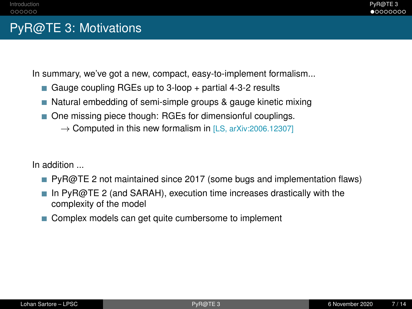# <span id="page-10-0"></span>PyR@TE 3: Motivations

In summary, we've got a new, compact, easy-to-implement formalism...

- Gauge coupling RGEs up to  $3$ -loop  $+$  partial 4-3-2 results
- Natural embedding of semi-simple groups & gauge kinetic mixing
- One missing piece though: RGEs for dimensionful couplings.
	- $\rightarrow$  Computed in this new formalism in [LS, arXiv:2006.12307]

In addition ...

- **PyR@TE 2 not maintained since 2017 (some bugs and implementation flaws)**
- In PyR@TE 2 (and SARAH), execution time increases drastically with the complexity of the model
- Complex models can get quite cumbersome to implement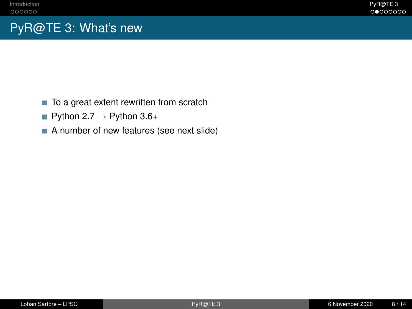# PyR@TE 3: What's new

- П To a great extent rewritten from scratch
- Python  $2.7 \rightarrow$  Python  $3.6+$
- A number of new features (see next slide)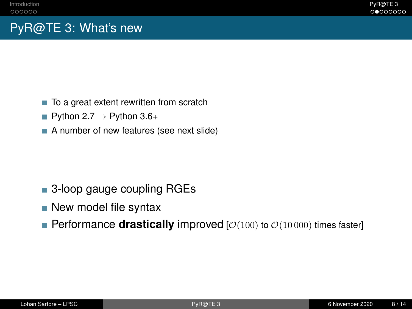# PyR@TE 3: What's new

- To a great extent rewritten from scratch П
- Python  $2.7 \rightarrow$  Python  $3.6+$
- A number of new features (see next slide)

# ■ 3-loop gauge coupling RGEs

- New model file syntax
- **Performance drastically** improved  $[O(100)$  to  $O(10000)$  times faster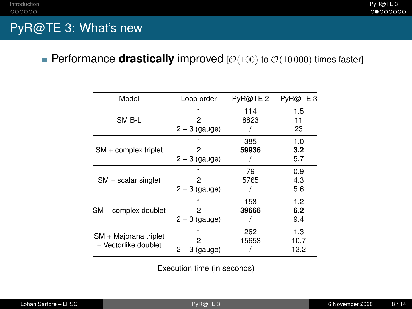## PyR@TE 3: What's new

## Performance **drastically** improved  $[O(100)$  to  $O(10000)$  times faster]

| Model                                         | Loop order           | PyR@TE <sub>2</sub> | PyR@TE3             |
|-----------------------------------------------|----------------------|---------------------|---------------------|
| SM B-L                                        | 2                    | 114<br>8823         | 1.5<br>11           |
|                                               | $2 + 3$ (gauge)      |                     | 23                  |
| $SM + complex triplet$                        | 2                    | 385<br>59936        | 1.0<br>3.2          |
|                                               | $2 + 3$ (gauge)      |                     | 5.7                 |
| $SM + scalar$ singlet                         | 2<br>$2 + 3$ (gauge) | 79<br>5765          | 0.9<br>4.3<br>5.6   |
| SM + complex doublet                          | 2<br>$2 + 3$ (gauge) | 153<br>39666        | 1.2<br>6.2<br>9.4   |
| SM + Majorana triplet<br>+ Vectorlike doublet | 2<br>$2 + 3$ (gauge) | 262<br>15653        | 1.3<br>10.7<br>13.2 |

Execution time (in seconds)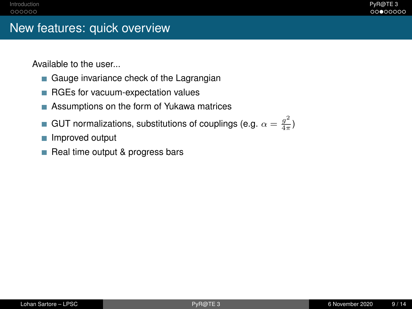# New features: quick overview

Available to the user...

- Gauge invariance check of the Lagrangian
- RGEs for vacuum-expectation values
- Assumptions on the form of Yukawa matrices
- GUT normalizations, substitutions of couplings (e.g.  $\alpha = \frac{g^2}{4\pi}$ П  $\frac{g}{4\pi}$
- Improved output TТ
- Real time output & progress bars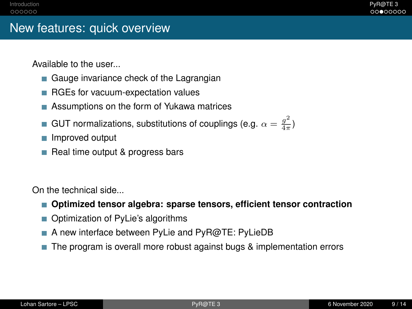# New features: quick overview

Available to the user...

- Gauge invariance check of the Lagrangian
- RGEs for vacuum-expectation values
- Assumptions on the form of Yukawa matrices ш
- GUT normalizations, substitutions of couplings (e.g.  $\alpha = \frac{g^2}{4\pi}$  $\frac{g}{4\pi}$
- Improved output
- $\blacksquare$  Real time output & progress bars

On the technical side...

- **Optimized tensor algebra: sparse tensors, efficient tensor contraction**
- Optimization of PyLie's algorithms
- A new interface between PyLie and PyR@TE: PyLieDB
- The program is overall more robust against bugs & implementation errors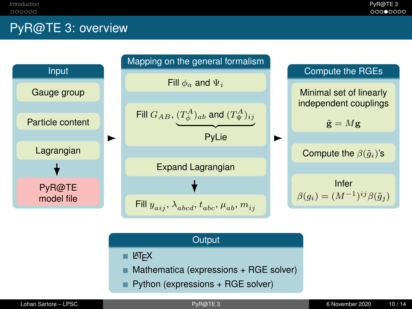# PyR@TE 3: overview



| Output                                                |  |
|-------------------------------------------------------|--|
| $H = ETEX$                                            |  |
| $\blacksquare$ Mathematica (expressions + RGE solver) |  |
| $\blacksquare$ Python (expressions + RGE solver)      |  |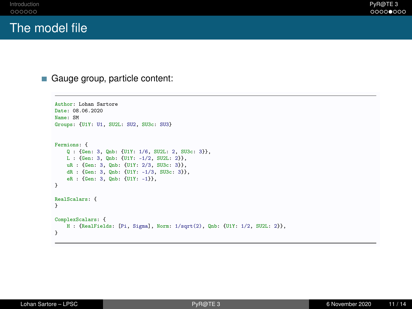## The model file

Gauge group, particle content:

```
Author: Lohan Sartore
Date: 08.06.2020
Name: SM
Groups: {U1Y: U1, SU2L: SU2, SU3c: SU3}
Fermions: {
    Q : {Gen: 3, Qnb: {U1Y: 1/6, SU2L: 2, SU3c: 3}},
    L : {Gen: 3, Qnb: {U1Y: -1/2, SU2L: 2}},
    uR : {Gen: 3, Qnb: {U1Y: 2/3, SU3c: 3}},
    dR : {Gen: 3, Qnb: {U1Y: -1/3, SU3c: 3}},
    eR : {Gen: 3, Qnb: {U1Y: -1}},
}
RealScalars: {
}
ComplexScalars: {
    H : {RealFields: [Pi, Sigma], Norm: 1/sqrt(2), Qnb: {U1Y: 1/2, SU2L: 2}},
}
```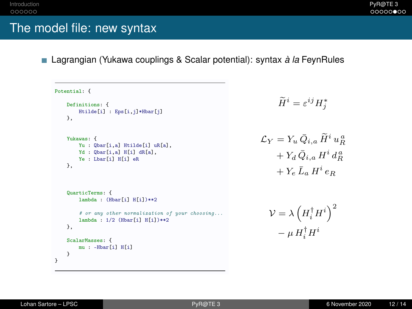## The model file: new syntax

■ Lagrangian (Yukawa couplings & Scalar potential): syntax *à la* FeynRules

```
Potential: {
     Definitions: {
          Htilde[i] : Eps[i,j]*Hbar[j]
     },
     Yukawas: {
          Yu : Qbar[i,a] Htilde[i] uR[a],
          Yd : Qbar[i,a] H[i] dR[a],
          Ye : Lbar<sup>[i]</sup> H<sup>[i]</sup> eR
     },
     QuarticTerms: {
          lambda : (Hbar[i] H[i])**2
          # or any other normalization of your choosing...
          lambda : 1/2 (Hbar[i] H[i])**2
     },
     ScalarMasses: {
          mu : -Hbar[i] H[i]
     \mathbf{r}}
                                                                                                   \widetilde{H}^i = \varepsilon^{ij} H^*_j\mathcal{L}_Y = Y_u \, \bar{Q}_{i,a} \, \widetilde{H}^i \, u_R^{\,a}+ Y_d \bar{Q}_{i,a} H^i d_R^a+ Y_e \bar{L}_a H^i e_R\mathcal{V}=\lambda\left(H_i^\dagger H^i\right)^2- \mu H_i^{\dagger} H^i
```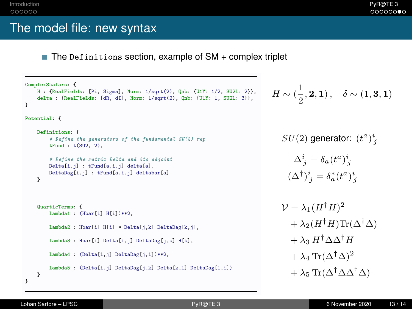## The model file: new syntax

m. The Definitions section, example of SM + complex triplet

```
ComplexScalars: {
    H : {RealFields: [Pi, Sigma], Norm: 1/sqrt(2), Qnb: {U1Y: 1/2, SU2L: 2}},
    delta : {RealFields: [dR, dI], Norm: 1/sqrt(2), Qnb: {U1Y: 1, SU2L: 3}},
}
Potential: {
    Definitions: {
        # Define the generators of the fundamental SU(2) rep
        tFund : t(SU2, 2),
        # Define the matrix Delta and its adjoint
        Delta[i,j] : tFund[a,i,j] delta[a],
        DeltaDag[i,j] : tFund[a,i,j] deltabar[a]
   }
    QuarticTerms: {
        lambda1 : (Hbar[i] H[i])**2,
        lambda2 : Hbar[i] H[i] * Delta[j,k] DeltaDag[k,j],
        lambda3 : Hbar[i] Delta[i,j] DeltaDag[j,k] H[k],
        lambda4 : (Delta[i,j] DeltaDag[j,i])**2,
        lambda5 : (Delta[i,j] DeltaDag[j,k] Delta[k,l] DeltaDag[l,i])
   }
}
                                                                                    H \sim (\frac{1}{2})(∆†
```
 $\frac{1}{2}$ , **2**, **1**),  $\delta \sim (1, 3, 1)$ 

 $SU(2)$  generator:  $(t^a)^i_j$ 

$$
\Delta^i_j = \delta_a (t^a)^i_j
$$

$$
(\Delta^{\dagger})^i_j = \delta^*_a (t^a)^i_j
$$

$$
\mathcal{V} = \lambda_1 (H^{\dagger} H)^2
$$
  
+  $\lambda_2 (H^{\dagger} H) \text{Tr}(\Delta^{\dagger} \Delta)$   
+  $\lambda_3 H^{\dagger} \Delta \Delta^{\dagger} H$   
+  $\lambda_4 \text{Tr}(\Delta^{\dagger} \Delta)^2$   
+  $\lambda_5 \text{Tr}(\Delta^{\dagger} \Delta \Delta^{\dagger} \Delta)$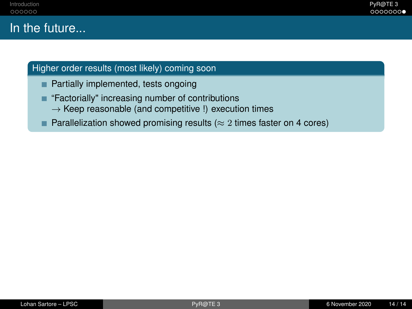### Higher order results (most likely) coming soon

- **Partially implemented, tests ongoing**
- "Factorially" increasing number of contributions п
	- $\rightarrow$  Keep reasonable (and competitive !) execution times
- **Parallelization showed promising results (** $\approx$  **2 times faster on 4 cores)**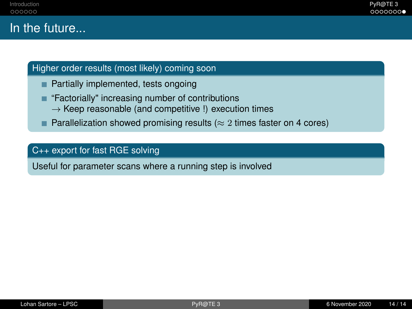## Higher order results (most likely) coming soon

- Partially implemented, tests ongoing
- "Factorially" increasing number of contributions п
	- $\rightarrow$  Keep reasonable (and competitive !) execution times
- п Parallelization showed promising results ( $\approx$  2 times faster on 4 cores)

#### C++ export for fast RGE solving

Useful for parameter scans where a running step is involved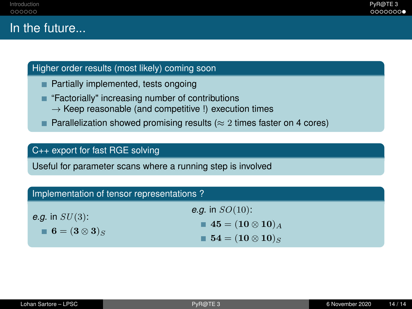## Higher order results (most likely) coming soon

- Partially implemented, tests ongoing
- "Factorially" increasing number of contributions п
	- $\rightarrow$  Keep reasonable (and competitive !) execution times
- п Parallelization showed promising results ( $\approx$  2 times faster on 4 cores)

#### C++ export for fast RGE solving

Useful for parameter scans where a running step is involved

| Implementation of tensor representations?                 |                                                                                                                               |  |
|-----------------------------------------------------------|-------------------------------------------------------------------------------------------------------------------------------|--|
| e.g. in $SU(3)$ :<br>$\blacksquare$ 6 = $(3 \otimes 3)_S$ | <i>e.g.</i> in $SO(10)$ :<br>$\blacksquare$ 45 = (10 $\otimes$ 10) $_A$<br>$\blacksquare$ 54 = (10 $\otimes$ 10) <sub>S</sub> |  |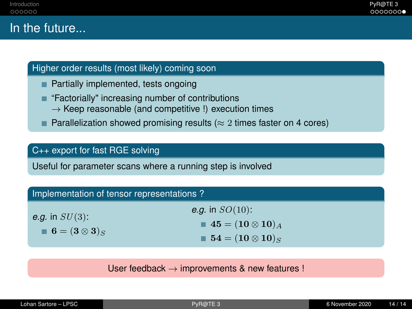#### Higher order results (most likely) coming soon

- Partially implemented, tests ongoing
- "Factorially" increasing number of contributions п
	- $\rightarrow$  Keep reasonable (and competitive !) execution times
- **Parallelization showed promising results (** $\approx$  **2 times faster on 4 cores)**

#### C++ export for fast RGE solving

Useful for parameter scans where a running step is involved

| Implementation of tensor representations?                 |                                                                                 |
|-----------------------------------------------------------|---------------------------------------------------------------------------------|
| e.g. in $SU(3)$ :<br>$\blacksquare$ 6 = $(3 \otimes 3)_S$ | <i>e.g.</i> in $SO(10)$ :<br>$\blacksquare$ 45 = (10 $\otimes$ 10) <sub>A</sub> |
|                                                           | $\blacksquare$ 54 = (10 $\otimes$ 10) <sub>S</sub>                              |

User feedback  $\rightarrow$  improvements & new features !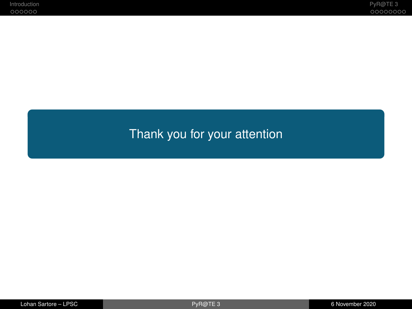# Thank you for your attention